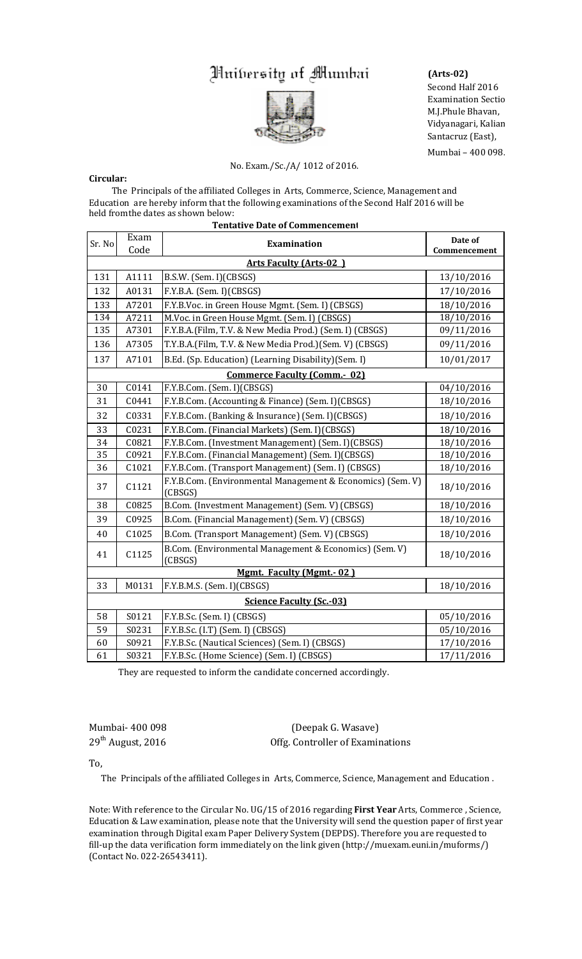## Muibersity of Mumbai



## No. Exam./Sc./A/ 1012 of 2016.

## **Circular:**

The Principals of the affiliated Colleges in Arts, Commerce, Science, Management and Education are hereby inform that the following examinations of the Second Half 2016 will be held fromthe dates as shown below: **Tentative Date of Commencement** 

| Sr. No                              | Exam<br>Code | <b>Examination</b>                                                    | Date of<br>Commencement |
|-------------------------------------|--------------|-----------------------------------------------------------------------|-------------------------|
| <b>Arts Faculty (Arts-02)</b>       |              |                                                                       |                         |
| 131                                 | A1111        | B.S.W. (Sem. I)(CBSGS)                                                | 13/10/2016              |
| 132                                 | A0131        | F.Y.B.A. (Sem. I)(CBSGS)                                              | 17/10/2016              |
| 133                                 | A7201        | F.Y.B.Voc. in Green House Mgmt. (Sem. I) (CBSGS)                      | 18/10/2016              |
| 134                                 | A7211        | M.Voc. in Green House Mgmt. (Sem. I) (CBSGS)                          | 18/10/2016              |
| 135                                 | A7301        | F.Y.B.A.(Film, T.V. & New Media Prod.) (Sem. I) (CBSGS)               | 09/11/2016              |
| 136                                 | A7305        | T.Y.B.A.(Film, T.V. & New Media Prod.)(Sem. V) (CBSGS)                | 09/11/2016              |
| 137                                 | A7101        | B.Ed. (Sp. Education) (Learning Disability) (Sem. I)                  | 10/01/2017              |
| <b>Commerce Faculty (Comm.- 02)</b> |              |                                                                       |                         |
| 30                                  | C0141        | F.Y.B.Com. (Sem. I)(CBSGS)                                            | 04/10/2016              |
| 31                                  | C0441        | F.Y.B.Com. (Accounting & Finance) (Sem. I)(CBSGS)                     | 18/10/2016              |
| 32                                  | C0331        | F.Y.B.Com. (Banking & Insurance) (Sem. I)(CBSGS)                      | 18/10/2016              |
| 33                                  | C0231        | F.Y.B.Com. (Financial Markets) (Sem. I)(CBSGS)                        | 18/10/2016              |
| 34                                  | C0821        | F.Y.B.Com. (Investment Management) (Sem. I)(CBSGS)                    | 18/10/2016              |
| 35                                  | C0921        | F.Y.B.Com. (Financial Management) (Sem. I)(CBSGS)                     | 18/10/2016              |
| 36                                  | C1021        | F.Y.B.Com. (Transport Management) (Sem. I) (CBSGS)                    | 18/10/2016              |
| 37                                  | C1121        | F.Y.B.Com. (Environmental Management & Economics) (Sem. V)<br>(CBSGS) | 18/10/2016              |
| 38                                  | C0825        | B.Com. (Investment Management) (Sem. V) (CBSGS)                       | 18/10/2016              |
| 39                                  | C0925        | B.Com. (Financial Management) (Sem. V) (CBSGS)                        | 18/10/2016              |
| 40                                  | C1025        | B.Com. (Transport Management) (Sem. V) (CBSGS)                        | 18/10/2016              |
| 41                                  | C1125        | B.Com. (Environmental Management & Economics) (Sem. V)<br>(CBSGS)     | 18/10/2016              |
| <b>Mgmt. Faculty (Mgmt.-02)</b>     |              |                                                                       |                         |
| 33                                  | M0131        | F.Y.B.M.S. (Sem. I)(CBSGS)                                            | 18/10/2016              |
| <b>Science Faculty (Sc.-03)</b>     |              |                                                                       |                         |
| 58                                  | S0121        | F.Y.B.Sc. (Sem. I) (CBSGS)                                            | 05/10/2016              |
| 59                                  | S0231        | F.Y.B.Sc. (I.T) (Sem. I) (CBSGS)                                      | 05/10/2016              |
| 60                                  | S0921        | F.Y.B.Sc. (Nautical Sciences) (Sem. I) (CBSGS)                        | 17/10/2016              |
| 61                                  | S0321        | F.Y.B.Sc. (Home Science) (Sem. I) (CBSGS)                             | 17/11/2016              |

They are requested to inform the candidate concerned accordingly.

Mumbai‐ 400 098 (Deepak G. Wasave) 29th August, 2016 Offg. Controller of Examinations

To,

The Principals of the affiliated Colleges in Arts, Commerce, Science, Management and Education.

Note: With reference to the Circular No. UG/15 of 2016 regarding First Year Arts, Commerce, Science, Education & Law examination, please note that the University will send the question paper of first year examination through Digital exam Paper Delivery System (DEPDS). Therefore you are requested to fill-up the data verification form immediately on the link given (http://muexam.euni.in/muforms/) (Contact No. 022‐26543411).

## **(Arts‐02)**

Second Half 2016 Examination Sectio M.J.Phule Bhavan, Vidyanagari, Kalian Santacruz (East),

Mumbai - 400 098.